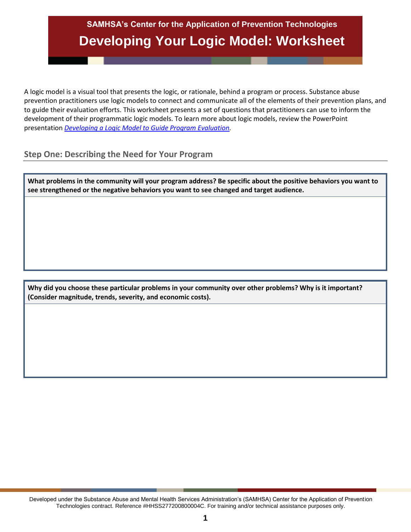# **SAMHSA's Center for the Application of Prevention Technologies Developing Your Logic Model: Worksheet**

A logic model is a visual tool that presents the logic, or rationale, behind a program or process. Substance abuse prevention practitioners use logic models to connect and communicate all of the elements of their prevention plans, and to guide their evaluation efforts. This worksheet presents a set of questions that practitioners can use to inform the development of their programmatic logic models. To learn more about logic models, review the PowerPoint presentation *[Developing a Logic Model to Guide Program Evaluation.](http://www.samhsa.gov/capt/tools-learning-resources/logic-model-program-evaluation)*

### **Step One: Describing the Need for Your Program**

**What problems in the community will your program address? Be specific about the positive behaviors you want to see strengthened or the negative behaviors you want to see changed and target audience.**

**Why did you choose these particular problems in your community over other problems? Why is it important? (Consider magnitude, trends, severity, and economic costs).**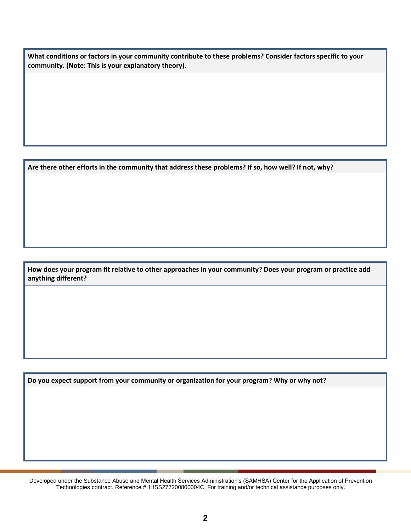**What conditions or factors in your community contribute to these problems? Consider factors specific to your community. (Note: This is your explanatory theory).**

**Are there other efforts in the community that address these problems? If so, how well? If not, why?**

**How does your program fit relative to other approaches in your community? Does your program or practice add anything different?**

**Do you expect support from your community or organization for your program? Why or why not?**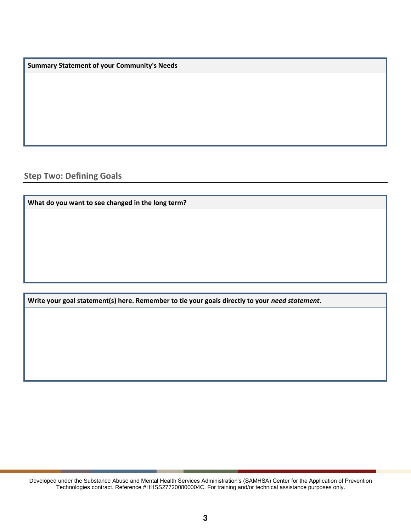**Summary Statement of your Community's Needs**

**Step Two: Defining Goals** 

**What do you want to see changed in the long term?**

**Write your goal statement(s) here. Remember to tie your goals directly to your** *need statement***.**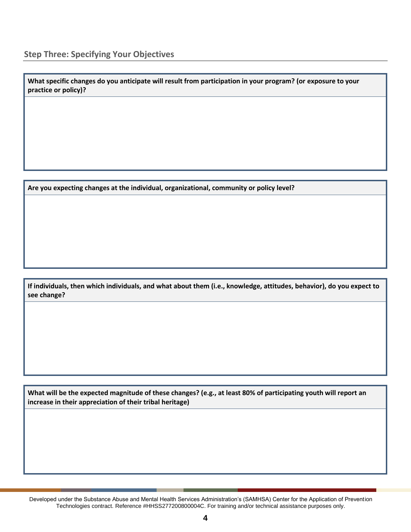**What specific changes do you anticipate will result from participation in your program? (or exposure to your practice or policy)?**

**Are you expecting changes at the individual, organizational, community or policy level?**

**If individuals, then which individuals, and what about them (i.e., knowledge, attitudes, behavior), do you expect to see change?**

**What will be the expected magnitude of these changes? (e.g., at least 80% of participating youth will report an increase in their appreciation of their tribal heritage)**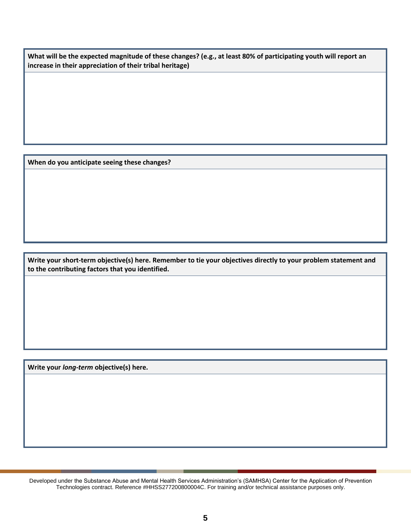**What will be the expected magnitude of these changes? (e.g., at least 80% of participating youth will report an increase in their appreciation of their tribal heritage)**

**When do you anticipate seeing these changes?**

**Write your short-term objective(s) here. Remember to tie your objectives directly to your problem statement and to the contributing factors that you identified.**

**Write your** *long-term* **objective(s) here.**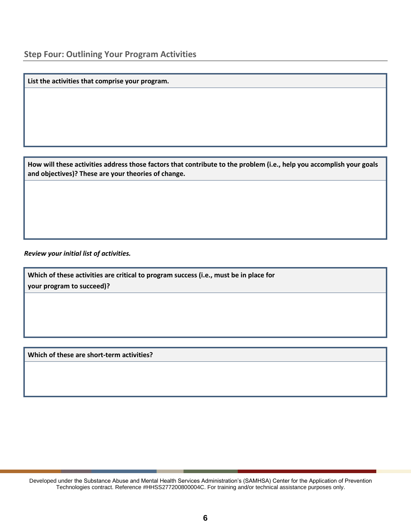**List the activities that comprise your program.**

**How will these activities address those factors that contribute to the problem (i.e., help you accomplish your goals and objectives)? These are your theories of change.**

*Review your initial list of activities.* 

**Which of these activities are critical to program success (i.e., must be in place for your program to succeed)?**

**Which of these are short-term activities?**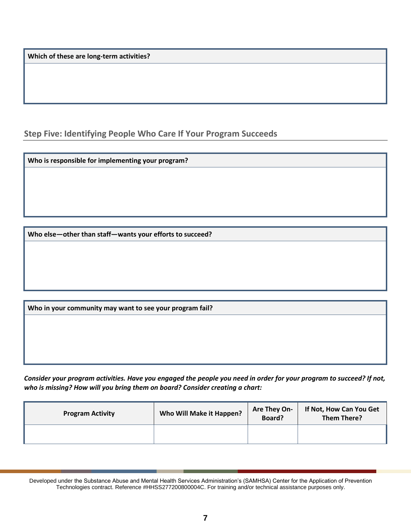**Which of these are long-term activities?**

**Step Five: Identifying People Who Care If Your Program Succeeds** 

**Who is responsible for implementing your program?**

**Who else—other than staff—wants your efforts to succeed?**

**Who in your community may want to see your program fail?**

*Consider your program activities. Have you engaged the people you need in order for your program to succeed? If not, who is missing? How will you bring them on board? Consider creating a chart:* 

| <b>Program Activity</b> | Who Will Make it Happen? | <b>Are They On-</b><br>Board? | If Not, How Can You Get<br><b>Them There?</b> |
|-------------------------|--------------------------|-------------------------------|-----------------------------------------------|
|                         |                          |                               |                                               |

Developed under the Substance Abuse and Mental Health Services Administration's (SAMHSA) Center for the Application of Prevention Technologies contract. Reference #HHSS277200800004C. For training and/or technical assistance purposes only.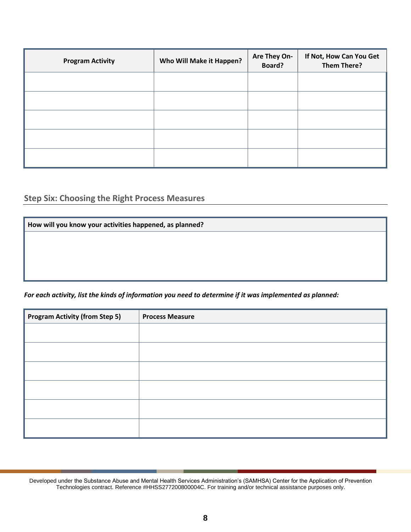| <b>Program Activity</b> | Who Will Make it Happen? | Are They On-<br>Board? | If Not, How Can You Get<br><b>Them There?</b> |
|-------------------------|--------------------------|------------------------|-----------------------------------------------|
|                         |                          |                        |                                               |
|                         |                          |                        |                                               |
|                         |                          |                        |                                               |
|                         |                          |                        |                                               |
|                         |                          |                        |                                               |

## **Step Six: Choosing the Right Process Measures**

| How will you know your activities happened, as planned? |  |  |
|---------------------------------------------------------|--|--|
|                                                         |  |  |
|                                                         |  |  |
|                                                         |  |  |
|                                                         |  |  |

*For each activity, list the kinds of information you need to determine if it was implemented as planned:* 

| <b>Program Activity (from Step 5)</b> | <b>Process Measure</b> |
|---------------------------------------|------------------------|
|                                       |                        |
|                                       |                        |
|                                       |                        |
|                                       |                        |
|                                       |                        |
|                                       |                        |

Developed under the Substance Abuse and Mental Health Services Administration's (SAMHSA) Center for the Application of Prevention Technologies contract. Reference #HHSS277200800004C. For training and/or technical assistance purposes only.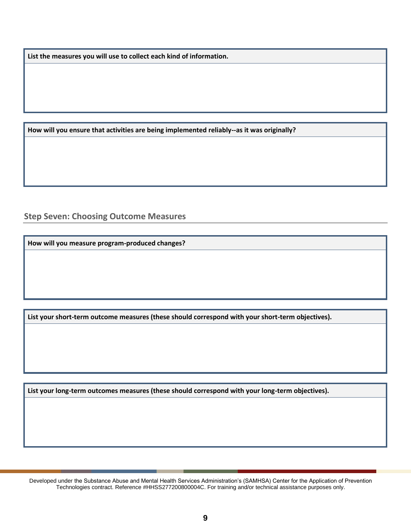**List the measures you will use to collect each kind of information.**

**How will you ensure that activities are being implemented reliably--as it was originally?**

### **Step Seven: Choosing Outcome Measures**

**How will you measure program-produced changes?**

**List your short-term outcome measures (these should correspond with your short-term objectives).**

**List your long-term outcomes measures (these should correspond with your long-term objectives).**